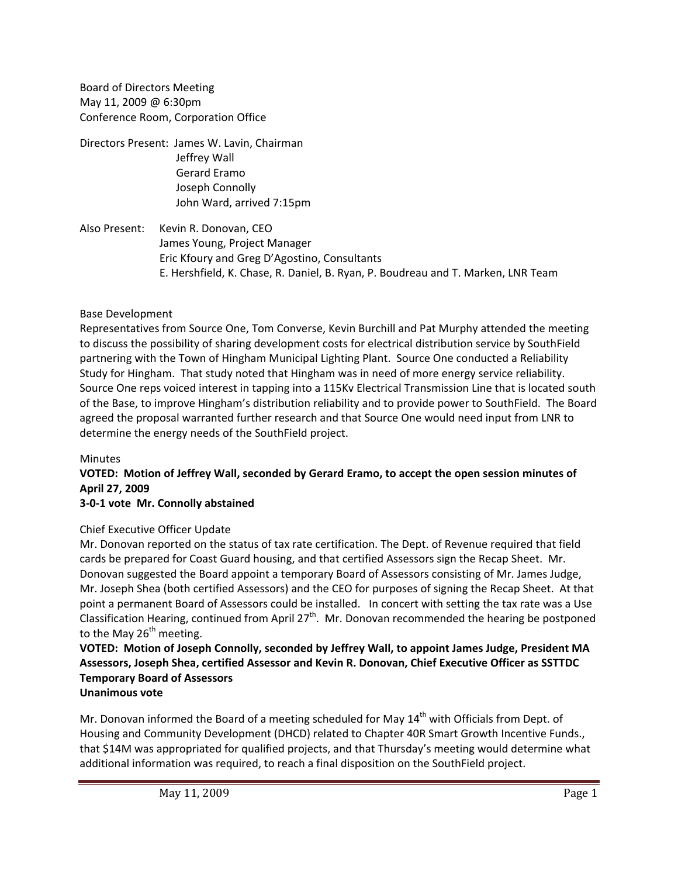Board of Directors Meeting May 11, 2009 @ 6:30pm Conference Room, Corporation Office

Directors Present: James W. Lavin, Chairman Jeffrey Wall Gerard Eramo Joseph Connolly John Ward, arrived 7:15pm

Also Present: Kevin R. Donovan, CEO James Young, Project Manager Eric Kfoury and Greg D'Agostino, Consultants E. Hershfield, K. Chase, R. Daniel, B. Ryan, P. Boudreau and T. Marken, LNR Team

## Base Development

Representatives from Source One, Tom Converse, Kevin Burchill and Pat Murphy attended the meeting to discuss the possibility of sharing development costs for electrical distribution service by SouthField partnering with the Town of Hingham Municipal Lighting Plant. Source One conducted a Reliability Study for Hingham. That study noted that Hingham was in need of more energy service reliability. Source One reps voiced interest in tapping into a 115Kv Electrical Transmission Line that is located south of the Base, to improve Hingham's distribution reliability and to provide power to SouthField. The Board agreed the proposal warranted further research and that Source One would need input from LNR to determine the energy needs of the SouthField project.

#### Minutes

# **VOTED: Motion of Jeffrey Wall, seconded by Gerard Eramo, to accept the open session minutes of April 27, 2009**

## **3‐0‐1 vote Mr. Connolly abstained**

## Chief Executive Officer Update

Mr. Donovan reported on the status of tax rate certification. The Dept. of Revenue required that field cards be prepared for Coast Guard housing, and that certified Assessors sign the Recap Sheet. Mr. Donovan suggested the Board appoint a temporary Board of Assessors consisting of Mr. James Judge, Mr. Joseph Shea (both certified Assessors) and the CEO for purposes of signing the Recap Sheet. At that point a permanent Board of Assessors could be installed. In concert with setting the tax rate was a Use Classification Hearing, continued from April 27<sup>th</sup>. Mr. Donovan recommended the hearing be postponed to the May  $26<sup>th</sup>$  meeting.

#### **VOTED: Motion of Joseph Connolly, seconded by Jeffrey Wall, to appoint James Judge, President MA Assessors, Joseph Shea, certified Assessor and Kevin R. Donovan, Chief Executive Officer as SSTTDC Temporary Board of Assessors Unanimous vote**

Mr. Donovan informed the Board of a meeting scheduled for May  $14<sup>th</sup>$  with Officials from Dept. of Housing and Community Development (DHCD) related to Chapter 40R Smart Growth Incentive Funds., that \$14M was appropriated for qualified projects, and that Thursday's meeting would determine what additional information was required, to reach a final disposition on the SouthField project.